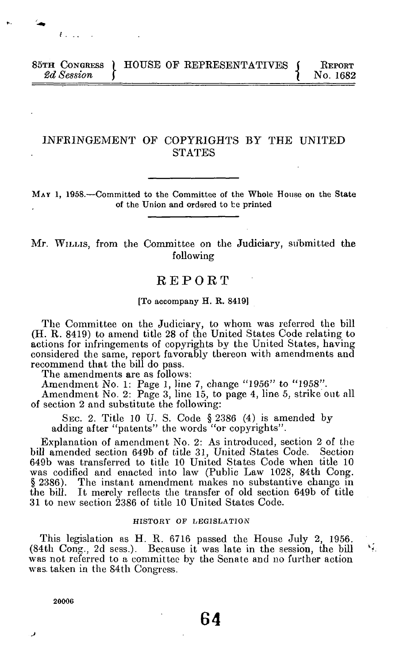# **85TH CONGRESS INCOCKERT EXECUTE IN STREET ASSESSMENT ATT NO. 1682** <sup>2</sup>*d* Session  $\left\{\begin{array}{c} 2d & \text{S}} \end{array}\right\}$

# **INFRINGEMENT OF COPYRIGHTS BY THE UNITED STATES**

**M A Y 1, 1958.—Committed to the Committee of the Whole House on the State of the Union and ordered to be printed** 

# **Mr. WILLIS, from the Committee on the Judiciary, submitted the following**

# **REPOR T**

### **[To accompany H. R. 8419]**

**The Committee on the Judiciary, to whom was referred the bill (H. R. 8419) to amend title 28 of the United States Code relating to actions for infringements of copyrights by the United States, having considered the same, report favorably thereon with amendments and recommend that the bill do pass.** 

**The amendments are as follows:** 

**Amendment No. 1: Page 1, line 7, change "1956" to "1958".** 

**Amendment No. 2: Page 3, line 15, to page 4, line 5, strike out all of section 2 and substitute the following:** 

**SEC. 2. Title 10 U. S. Code § 2386 (4) is amended by adding after "patents" the words "or copyrights".** 

**Explanation of amendment No . 2: As introduced, section 2 of the bill amended section 649b of title 31, United States Code. Section 649b was transferred to title 10 United States Code when title 10 was codified and enacted into law (Public Law 1028, 84th Cong. § 2386). The instant amendment makes no substantive change in the bill. It merely reflects the transfer of old section 649b of title 31 to new section 2386 of title 10 United States Code.** 

### **HISTORY OF LEGISLATION**

**This legislation as H. R. 6716 passed the House July 2, 1956. (84th Cong., 2d sess.). Because it was late in the session, the bill was not referred to a committee by the Senate and no further action was. taken in the S4th Congress.** 

**20006** 

хĵ.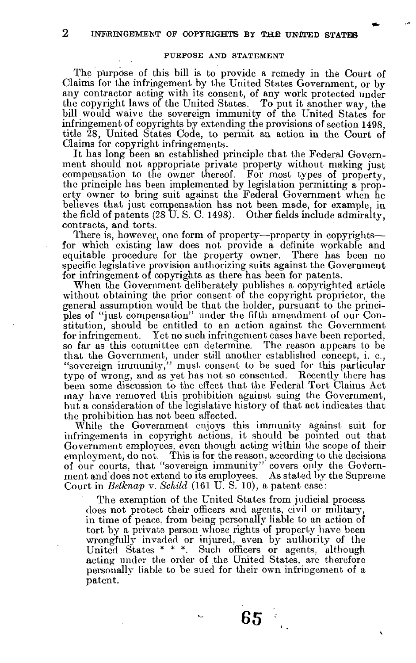**2 INFRINGEMENT OF COPYRIGHTS BY THE UNWED STATES** 

### **PURPOSE AND STATEMENT**

The purpose of this bill is to provide a remedy in the Court of Claims for the infringement by the United States Government, or by any contractor acting with its consent, of any work protected under the copyright laws of the United States. To put it another way, the bill would waive the sovereign immunity of the United States for infringement of copyrights by extending the provisions of section 1498. title 28, United States Code, to permit an action in the Court of Claims for copyright infringements.

It has long been an established principle that the Federal Government should not appropriate private property without making just compensation to the owner thereof. For most types of property, the principle has been implemented by legislation permitting a property owner to bring suit against the Federal Government when he believes that just compensation has not been made, for example, in the field of patents  $(28 \text{ U. S. C. 1498})$ . Other fields include admiralty, contracts, and torts.

There is, however, one form of property—property in copyrights for which existing law does not provide a definite workable and equitable procedure for the property owner. There has been no specific legislative provision authorizing suits against the Government for infringement of copyrights as there has been for patents.

When the Government deliberately publishes a copyrighted article without obtaining the prior consent of the copyright proprietor, the general assumption would be that the holder, pursuant to the principles of "just compensation" under the fifth amendment of our Constitution, should be entitled to an action against the Government for infringement. Yet no such infringement cases have been reported. so far as this committee can determine. The reason appears to be that the Government, under still another established concept, i. e., "sovereign immunity," must consent to be sued for this particular type of wrong, and as yet has not so consented. Recently there has been some discussion to the effect that the Federal Tort Claims Act may have removed this prohibition against suing the Government. but a consideration of the legislative history of that act indicates that the prohibition has not been affected.

While the Government enjoys this immunity against suit for infringements in copyright actions, it should be pointed out that Government employees, even though acting within the scope of their employment, do not. This is for the reason, according to the decisions of our courts, that "sovereign immunity" covers only the Government and does not extend to its employees. As stated by the Supreme Court in *Belknap* v. Schild (161 U.S. 10), a patent case:

The exemption of the United States from judicial process does not protect their officers and agents, civil or military, in time of peace, from being personally liable to an action of tort by a private person whose rights of property have been wrongfully invaded or injured, even by authority of the United States  $***$ . Such officers or agents, although acting under the order of the United States, are therefore personally liable to be sued for their own infringement of a patent.

65 -

 $\sqrt{2}$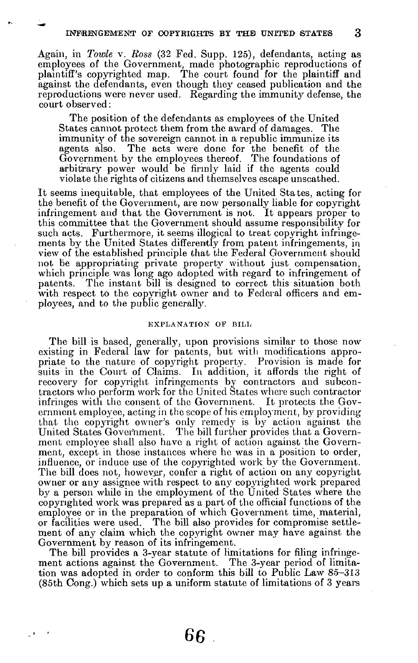Again, in *Towle* v. Ross (32 Fed. Supp. 125), defendants, acting as employees of the Government, made photographic reproductions of plaintiff's copyrighted map. The court found for the plaintiff and against the defendants, even though they ceased publication and the reproductions were never used. Regarding the immunity defense, the court observed:

The position of the defendants as employees of the United States cannot protect them from the award of damages. The immunity of the sovereign cannot in a republic immunize its agents also. The acts were done for the benefit of the Government by the employees thereof. The foundations of arbitrary power would be firmly laid if the agents could violate the rights of citizens and themselves escape unscathed.

It seems inequitable, that employees of the United States, acting for the benefit of the Government, are now personally liable for copyright infringement and that the Government is not. It appears proper to this committee that the Government should assume responsibility for such acts. Furthermore, it seems illogical to treat copyright infringements by the United States differently from patent infringements, in view of the established principle that the Federal Government should not be appropriating private property without just compensation, which principle was long ago adopted with regard to infringement of patents. The instant bill is designed to correct this situation both with respect to the copyright owner and to Federal officers and employees, and to the public generally.

### **EXPLANATION OF BILL**

The bill is based, generally, upon provisions similar to those now existing in Federal law for patents, but with modifications appropriate to the nature of copyright property. Provision is made for suits in the Court of Claims. In addition, it affords the right of recovery for copyright infringements by contractors and subcontractors who perform work for the United States where such contractor infringes with the consent of the Government. It protects the Government employee, acting in the scope of his employment, by providing that the copyright owner's only remedy is by action against the United States Government. The bill further provides that a Government employee shall also have a right of action against the Government, except in those instances where he was in a position to order, influence, or induce use of the copyrighted work by the Government. The bill does not, however, confer a right of action on any copyright owner or any assignee with respect to any copyrighted work prepared by a person while in the employment of the United States where the copyrighted work was prepared as a part of the official functions of the employee or in the preparation of which Government time, material, or facilities were used. The bill also provides for compromise settlement of any claim which the copyright owner may have against the Government by reason of its infringement.

The bill provides a 3-year statute of limitations for filing infringement actions against the Government. The 3-year period of limitation was adopted in order to conform this bill to Public Law 85-313  $(85th Cong.)$  which sets up a uniform statute of limitations of 3 years

 $\overline{\phantom{a}}$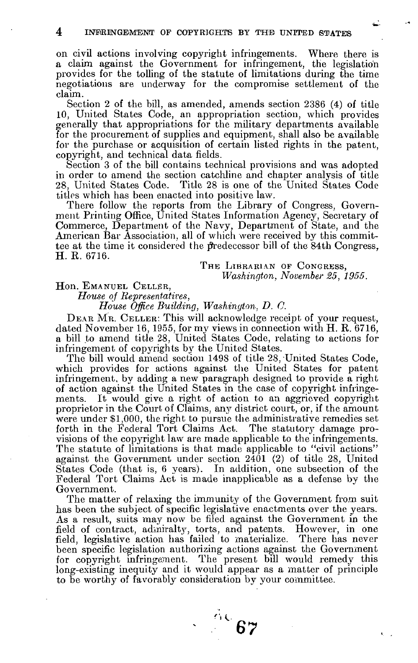**on civil actions involving copyright infringements. Where there is a claim against the Government for infringement, the legislation provides for the tolling of the statute of limitations during the time negotiations are underway for the compromise settlement of the claim.** 

**Section 2 of the bill, as amended, amends section 238 6 (4) of title 1 0 , United States Code, an appropriation section, which provides generally that appropriations for the military departments available for the procurement of supplies and equipment, shall also be available for the purchase or acquisition of certain listed rights in the patent, copyright, and technical data fields.** 

**Section 3 of the bill contains technical provisions and was adopted in order to amend the section catchline and chapter analysis of title 28, United States Code. Title 28 is one of the United States Code titles which has been enacted into positive law.** 

**There follow the reports from the Library of Congress, Government Printing Office, United States Information Agency, Secretary of Commerce, Department of the Navy, Department of State, and the American Bar Association, all of which were received by this committee at the time it considered the predecessor bill of the 84th Congress, H. R. 6716 .** 

> THE LIBRARIAN OF CONGRESS, *Washington, November 25, 1955.*

### Hon. EMANUEL CELLER,

*House of Representatives,* 

*House Office Building, Washington, D. C.* 

**DEA R MR . CELLER: This will acknowledge receipt of your request, dated November 16 , 1955 , for m y views in connection with H. R. 6716 , a bill to amend title 28, United States Code, relating to actions for infringement of copyrights by the United States.** 

The bill would amend section 1498 of title 28, United States Code. **which provides for actions against the United States for patent infringement, by adding a new paragraph designed to provide a right of action against the United States in the case of copyright infringements. It would give a right of action to an aggrieved copyright proprietor in the Court of Claims, any district court, or, if the amount were under \$1,000 , the right to pursue the administrative remedies set forth in the Federal Tort Claims Act. The statutory damage pro**visions of the copyright law are made applicable to the infringements. **The statute of limitations is that made applicable to "civil actions" against the Government under section 240 1 (2 ) of title 28, United States Code (that is, 6 years). In addition, one subsection of the Federal Tort Claims Act is made inapplicable as a defense by the Government.** 

**The matter of relaxing the immunity of the Government from suit has been the subject of specific legislative enactments over the years. As a result, suits may now be filed against the Government in the field of contract, admiralty, torts, and patents. However, in one field, legislative action has failed to materialize. There has never been specific legislation authorizing actions against the Government for copyright infringement. The present bill would remedy this long-existing inequity and it would appear as a matter of principle to be worthy of favorably consideration by your coxnmittee.** 

Ac 67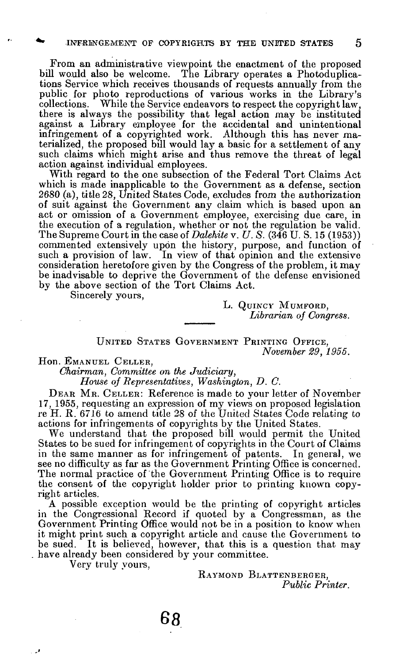**From an administrative viewpoint the enactment of the proposed bill would also be welcome. The Library operates a Photoduplications Service which receives thousands of requests annually from the public for photo reproductions of various works in the Library's collections. While the Service endeavors to respect the copyright law,**  there is always the possibility that legal action may be instituted **against a Library employee for the accidental and unintentional infringement of a copyrighted work. Although this has never materialized, the proposed bill would lay a basic for a settlement of** *any*  **such claims which might arise and thus remove the threat of legal action against individual employees.** 

**With regard to the one subsection of the Federal Tort Claims Act which is made inapplicable to the Government as a defense, section 2680 (a), title 28, United States Code, excludes from the authorization of suit against the Government any claim which is based upon an act or omission of a Government employee, exercising due care, in the execution of a regulation, whether or not the regulation be valid. The Supreme Court in the case of** *Dalehite* **v.** *U. S.* **(346 U. S. 15 (1953)) commented extensively upon the history, purpose, and function of such a provision of law. In view of that opinion and the extensive consideration heretofore given by the Congress of the problem, it may be inadvisable to deprive the Government of the defense envisioned by the above section of the Tort Claims Act.** 

**Sincerely yours,** 

**L. QuiNC Y MUMFORD ,**  *Librarian of Congress.* 

## **UNITED STATES GOVERNMENT PRINTING OFFICE,** *November 29, 1955.*

**Hon. EMANUEL CELLER,** 

*Chairman, Committee on the Judiciary,* 

*House of Representatives, Washington, D. C.* 

**DEA R MR . CELLER: Reference is made to your letter of November 1 7 , 1955 , requesting an expression of my views on proposed legislation re H. R. 671 6 to amend title 2 8 of the United States Code relating to actions for infringements of copyrights by the United States.** 

**We understand that the proposed bill would permit the United States to be sued for infringement of copyrights in the Court of Claims in the same manner as for infringement of patents. In general, we see no difficulty as far as the Government Printing Office is concerned. The normal practice of the Government Printing Office is to require the consent of the copyright holder prior to printing known copyright articles.** 

**A possible exception would be the printing of copyright articles in the Congressional Record if quoted by a Congressman, as the Government Printing Office would not be in a position to know when it might print such a copyright article and cause the Government to be sued. It is believed, however, that this is a question that may have already been considered by your committee.** 

**Very truly yours,** 

ور .

**RAYMOND BLATTENBERGER,**  *Public Printer.*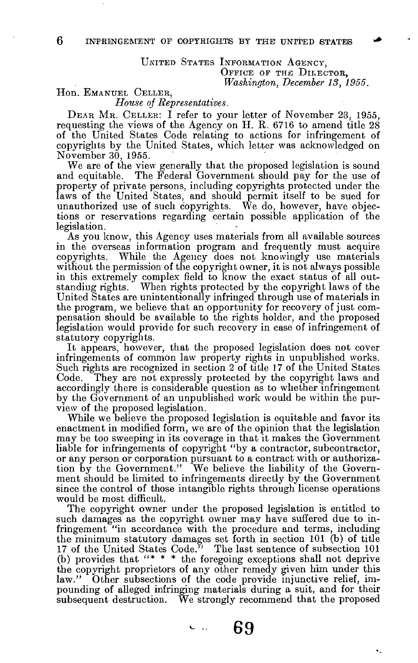### UNITED STATES INFORMATION AGENCY, **OFFICE OF THE DIRECTOR,**  *Washington, December 18, 1955.*

### **Hon. EMANUEL CELLER,**

*House of Representatives.* 

**DEA R MR . CELLER: I refer to your letter of November 23 , 1955 ,**  requesting the views of the Agency on H. R. 6716 to amend title 28 **of the United States Code relating to actions for infringement of copyrights by the United States, which letter was acknowledged on Novembe r 30 , 1955 .** 

**We are of the view generally that the proposed legislation is sound and equitable. The Federal Government should pay for the use of property of private persons, including copyrights protected under the laws of the United States, and should permit itself to be sued for unauthorized use of such copyrights. We do, however, have objections or reservations regarding certain possible application of the legislation.** 

**As you know, this Agency uses materials from all available sources in the overseas information program and frequently must acquire copyrights. While the Agency does not knowingly use materials without the permission of the copyright owner, it is not always possible in this extremely complex field to know the exact status of all outstanding rights. When rights protected by the copyright laws of the United States are unintentionally infringed through use of materials in the program, we believe that an opportunity for recovery of just compensation should be available to the rights holder, and the proposed legislation would provide for such recovery in case of infringement of statutory copyrights.** 

**It appears, however, that the proposed legislation does not cover infringements of common law property rights in unpublished works. Such rights are recognized in section 2 of title 1 7 of the United States Code. They are not expressly protected by the copyright laws and accordingly there is considerable question as to whether infringement by the Government of an unpublished work would be within the purview of the proposed legislation.** 

**While we believe the proposed legislation is equitable and favor its enactment in modified form, we are of the opinion that the legislation m a y be too sweeping in its coverage in that it makes the Government liable for infringements of copyright "by a contractor, subcontractor, or any person or corporation pursuant to a contract with or authoriza**tion by the Government." We believe the liability of the Govern**ment should be limited to infringements directly by the Government since the control of those intangible rights through license operations would be most difficult.** 

**The copyright owner under the proposed legislation is entitled to such damages as the copyright owner may have suffered due to infringement "in accordance with the procedure and terms, including the minimum statutory damages set forth in section 10 1 (b) of title**  17 of the United States Code." The last sentence of subsection 101 **(b) provides that "\* \* \* the foregoing exceptions shall not deprive the copyright proprietors of any other remedy given him under this**  law." Other subsections of the code provide injunctive relief, im**pounding of alleged infringing materials during a suit, and for their subsequent destruction. We strongly recommend that the proposed**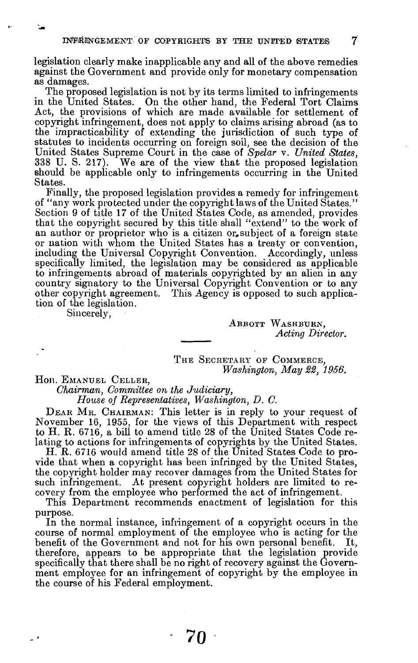**legislation clearly make inapplicable any and all of the above remedies against the Government and provide only for monetary compensation as damages.** 

**The proposed legislation is not b} <sup>r</sup> its terms limited to infringements in the United States. On the other hand, the Federal Tort Claims Act, the provisions of which are made available for settlement of copyright infringement, does not apply to claims arising abroad (as to the impracticability of extending the jurisdiction of such type of statutes to incidents occurring on foreign soil, see the decision of the United States Supreme Court in the case of** *Spelar* **v.** *United States,*  **3 3 8 U. S. 217) . We are of the view that the proposed legislation should be applicable only to infringements occurring in the United States.** 

**Finally, the proposed legislation provides a remedy for infringement of "any work protected under the copyright laws of the United States."**  Section 9 of title 17 of the United States Code, as amended, provides **that the copyright secured by this title shall "extend" to the work of an author or proprietor who is a citizen or,subject of a foreign state or nation with whom the United States has a treaty or convention, including the Universal Copyright Convention. Accordingly, unless specifically limited, the legislation may be considered as applicable to infringements abroad of materials copyrighted by an alien in any country signatory to the Universal Copyright Convention or to any other copyright agreement. This Agency is opposed to such application of the legislation.** 

**Sincerely,** 

**ABBOTT WASHBURN ,**  *Acting Director.* 

THE SECRETARY OF COMMERCE. *Washington, May 22, 1956.* 

**Hon. EMANUEL CELLER,** 

٠.

*Chairman, Committee on the Judiciary,* 

*House of Representatives, Washington, D. C.* 

**DEA R MR . CHAIRMAN: This letter is in reply to your request of November 16 , 1955 , for the views of this Department with respect to H. R. 6716 , a bill to amend title 2 8 of the United States Code relating to actions for infringements of copyrights by the United States.** 

**H. R. 671 6 would amend title 2 8 of the United States Code to provide that when a copyright has been infringed by the United States, the copyright holder may recover damages from the United States for such infringement. At present copyright holders are limited to recovery from the employee who performed the act of infringement.** 

**This Department recommends enactment of legislation for this purpose.** 

**In the normal instance, infringement of a copyright occurs in the course of normal employment of the employee who is acting for the benefit of the Government and not for his own personal benefit. It, therefore, appears to be appropriate that the legislation provide**  specifically that there shall be no right of recovery against the Govern**ment employee for an infringement of copyright by the employee in the course of his Federal employment.**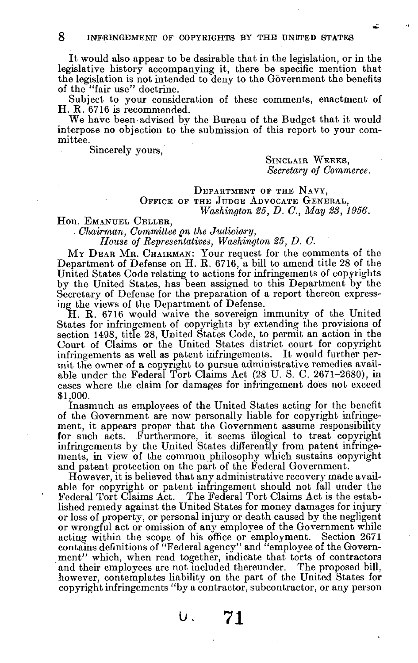It would also appear to be desirable that in the legislation, or in the legislative history accompanying it, there be specific mention that the legislation is not intended to deny to the Government the benefits of the "fair use" doctrine.

Subject to your consideration of these comments, enactment of H . **R . 671 <sup>6</sup>** is recommended.

We have been advised by the Bureau of the Budget that it would interpose no objection to the submission of this report to your committee .

Sincerely yours,

SINCLAIR WEEKS, *Secretary of Commerce.* 

# **DEPARTMENT OP THE NAVY , OFFICE OF THE JUDGE ADVOCATE GENERAL,**  *Washington 25, D. C, May 23, 1956.*

Hon . **EMANUEL CELLER,** 

*- Chairman, Committee gn the Judiciary,* 

*House of Representatives, Washington 25, D. C.* 

**<sup>M</sup> Y DEA R MR . CHAIRMAN**: Your request for the comments of the Departmen t of Defense on H . **R . 6716 ,** a bill to amen d title **2 8** of the United States Code relating to actions for infringements of copyrights by the United States, has been assigned to this Department by the Secretary of Defense for the preparation of a report thereon expressing the views of the Department of Defense.

H. R. 6716 would waive the sovereign immunity of the United States for infringement of copyrights by extending the provisions of section 1498, title 28, United States Code, to permit an action in the Court of Claims or the United States district court for copyright infringements as well as patent infringements. It would further permit the owner of a copyright to pursue administrative remedies available under the Federal Tort Claims Act (28 U.S. C. 2671–2680), in cases where the claim for damages for infringement does not exceed **\$1,000 .** 

Inasmuch as employees of the United States acting for the benefit of the Government are now personally liable for copyright infringement, it appears proper that the Government assume responsibility for such acts. Furthermore, it seems illogical to treat copyright infringements by the United States differently from patent infringements, in view of the common philosophy which sustains copyright and patent protection on the part of the Federal Government.

However, it is believed that any administrative recovery made available for copyright or patent infringement should not fall under the Federal Tort Claims Act. The Federal Tort Claims Act is the established remedy against the United States for money damages for injury or loss of property, or personal injury or death caused by the negligent or wrongful act or omission of any employee of the Government while acting within the scope of his office or employment. Section 2671 contains definitions of "Federal agency" and "employee of the Government" which, when read together, indicate that torts of contractors and their employees are not included thereunder. The proposed bill, however, contemplates liability on the part of the United States for copyright infringements "by a contractor, subcontractor, or any person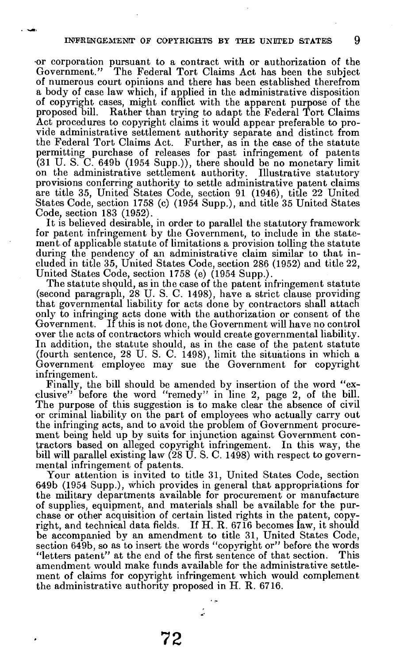**•or corporation pursuant to a contract with or authorization of the**  The Federal Tort Claims Act has been the subject **of numerous court opinions and there has been established therefrom a body of case law which, if applied in the administrative disposition of copyright cases, might conflict with the apparent purpose of the proposed bill. Rather than trying to adapt the Federal Tort Claims**  Act procedures to copyright claims it would appear preferable to pro**vide administrative settlement authority separate and distinct from the Federal Tort Claims Act. Further, as in the case of the statute permitting purchase of releases for past infringement of patents (31 U. S. C. 649b (195 4 Supp.)), there should be no monetary limit on the administrative settlement authority. Illustrative statutory provisions conferring authority to settle administrative patent claims are title 35, United States Code, section 9 1 (1946) , title 22 United States Code, section 1758 (c) (195 4 Supp.), and title 35 United States Code, section 183 (1952) .** 

**It is believed desirable, in order to parallel the statutory framework for patent infringement by the Government, to include in the statement of applicable statute of limitations a provision tolling the statute during the pendency of an administrative claim similar to that included in title 35, United States Code, section 286 (1952 ) and title 22, United States Code, section 1758 (e) (195 4 Supp.).** 

**The statute should, as in the case of the patent infringement statute (second paragraph, 28 U. S. C. 1498) , have a strict clause providing that governmental liability for acts done by contractors shall attach only to infringing acts done with the authorization or consent of the Government. If this is not done, the Government will have no control over the acts of contractors which would create governmental liability. In addition, the statute should, as in the case of the patent statute (fourth sentence, 28 U. S. C. 1498) , limit the situations in which a Government employee may sue the Government for copyright infringement.** 

**Finally, the bill should be amended by insertion of the word "exclusive" before the word "remedy" in line 2, page 2, of the bill.**  The purpose of this suggestion is to make clear the absence of civil **or criminal liability on the part of employees who actually carry out the infringing acts, and to avoid the problem of Government procurement being held up by suits for injunction against Government contractors based on alleged copyright infringement. In this way, the bill will parallel existing law (28 U. S. C. 1498 ) with respect to governmental infringement of patents.** 

**Your attention is invited to title 31, United States Code, section 649b (1954 Supp.), which provides in general that appropriations for the military departments available for procurement or manufacture of supplies, equipment, and materials shall be available for the purchase or other acquisition of certain listed rights in the patent, copyright, and technical data fields. If H. R. 6716 becomes law, it should be accompanied by an amendment to title 31, United States Code, section 649b, so as to insert the words "copyright or" before the words "letters patent" at the end of the first sentence of that section. This amendment would make funds available for the administrative settlement of claims for copyright infringement which would complement the administrative authority proposed in H. R. 6716.** 

ź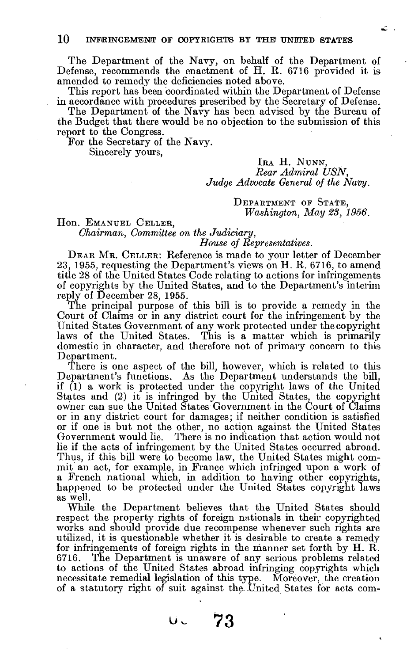**The Department of the Navy , on behalf of the Department of**  Defense, recommends the enactment of H. R. 6716 provided it is **amended to remedy the deficiencies noted above.** 

**This report has been coordinated within the Department of Defense in accordance with procedures prescribed by the Secretary of Defense.** 

The Department of the Navy has been advised by the Bureau of **the Budge t that there would be no objection to the submission of this report to the Congress.** 

**For the Secretary of the Navy.** 

**Sincerely yours,** 

# IRA H. NUNN, *Rear Admiral USN, Judge Advocate General of the Navy.*

**DEPARTMENT OF STATE,** *Washington, May 28, 1956.*  Ľ,

Hon. EMANUEL CELLER,

*Chairman, Committee on the Judiciary,* 

# *House oj Representatives.*

**DEA R MR . CELLER: Reference is made to your letter of December 23, 1955 , requesting the Department's views on H. R. 6716 , to amend title 28 of the United States Code relating to actions for infringements of copyrights b y the United States, and to the Department's interim reply of December 28, 1955 .** 

**The principal purpose of this bill is to provide a remedy in the Court of Claims or in any district court for the infringement by the United States Government of any work protected under the copyright laws of the United States. This is a matter which is primarily domestic in character, and therefore not of primary concern to this Department.** 

**There is one aspect of the bill, however, which is related to this Department's functions. As the Department understands the bill, if (1 ) a work is protected under the copyright laws of the United States and (2) it is infringed by the United States, the copyright owner can sue the United States Government in the Court of Claims or in any district court for damages; if neither condition is satisfied or if one is but not the other, no action against the United States Government would lie. There is no indication that action would not lie if the acts of infringement by the United States occurred abroad. Thus, if this bill were to become law, the United States might commit an act, for example, in France which infringed upon a work of a French national which, in addition to having other copyrights, happened to be protected under the United States copyright laws as well.** 

**While the Department believes that the United States should**  respect the property rights of foreign nationals in their copyrighted **works and should provide due recompense whenever such rights are utilized, it is questionable whether it is desirable to create a remedy for infringements of foreign rights in the manner set forth by H. R. 6716 . The Department is unaware of any serious problems related to actions of the United States abroad infringing copyrights which necessitate remedial legislation of this type. Moreover, the creation of a statutory right of suit against the-United States for acts com-**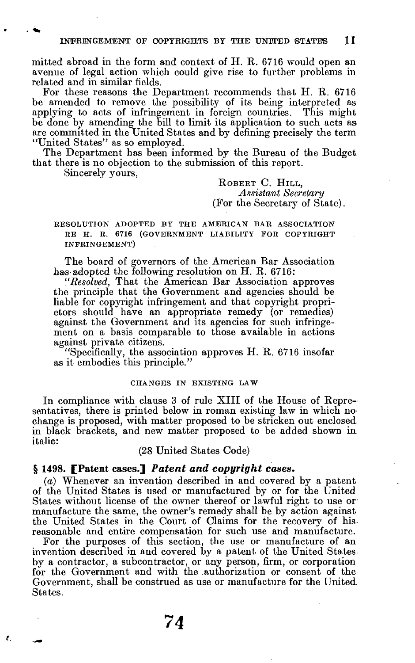mitted abroad in the form and context of H. R. 6716 would open an avenue of legal action which could give rise to further problems in related and in similar fields.

For these reasons the Department recommends that H. R. 6716 be amended to remove the possibility of its being interpreted as applying to acts of infringement in foreign countries. This might be done by amending the bill to limit its application to such acts as are committed in the United States and by defining precisely the term "United States" as so employed.

The Department has been informed by the Bureau of the Budget that there is no objection to the submission of this report.

Sincerely yours,

**ROBER T** C. **HILL,**  *Assistant Secretary*  (For the Secretary of State).

**RESOLUTION ADOPTED BY THE AMERICAN BAR ASSOCIATION RE H. R. 6716 (GOVERNMENT LIABILITY FOR COPYRIGHT INFRINGEMENT)** 

The board of governors of the American Bar Association has adopted the following resolution on  $H$ . R. 6716:

*"Resolved,* That the American Bar Association approves" the principle that the Government and agencies should be liable for copyright infringement and that copyright proprietors should have an appropriate remedy (or remedies) against the Government and its agencies for such infringement on a basis comparable to those available in actions against private citizens.

"Specifically, the association approves  $H. R. 6716$  insofar as it embodies this principle. "

### **CHANGES IN EXISTING LAW**

In compliance with clause 3 of rule XIII of the House of Representatives, there is printed below in roman existing law in which nochange is proposed, with matter proposed to be stricken out enclosed in black brackets, and new matter proposed to be added shown in. italic:

(28 United States Code)

# **§ 1498. [Paten t cases.]** *Patent and copyright cases.*

(a) Whenever an invention described in and covered by a patent of the United States is used or manufactured by or for the United States without license of the owner thereof or lawful right to use or manufacture the same, the owner's remedy shall be by action against the United States in the Court of Claims for the recovery of hisreasonable and entire compensation for such use and manufacture.

For the purposes of this section, the use or manufacture of an invention described in and covered by a patent of the United States. by a contractor, a subcontractor, or any person, firm, or corporation for the Government and with the authorization or consent of the Government, shall be construed as use or manufacture for the United States.

 $\ell$ .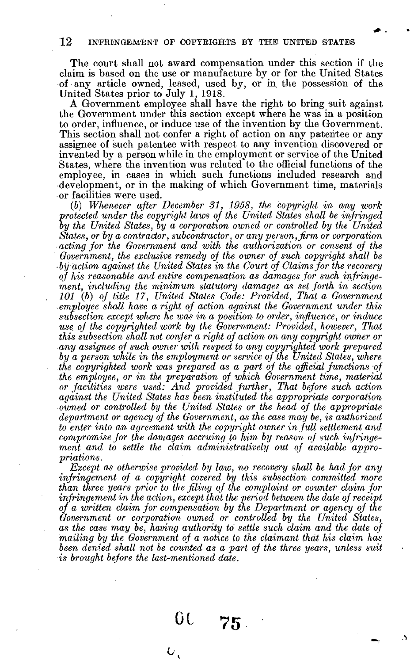**12 INFRINGEMENT OF COPYRIGHTS BY THE UNITED STATES** 

The court shall not award compensation under this section if the **claim is based on the use or manufacture by or for the United States of any article owned, leased, used by, or in, the possession of the United States prior to July 1, 1918.** 

**A Government employee shall have the right to bring suit against the Government under this section except where he was in a position to order, influence, or induce use of the invention by the Government. This section shall not confer a right of action on any patentee or any assignee of such patentee with respect to any invention discovered or invented by a person while in the employment or service of the United States, where the invention was related to the official functions of the employee, in cases in which such functions included research and -development, or in the making of which Government time, materials or facilities were used.** 

(6) *Whenever after December 31, 1958, the copyright in any work protected under the copyright laws of the United States shall be infringed*  by the United States, by a corporation owned or controlled by the United *States, or by a contractor, subcontractor, or any person, firm or corporation acting for the Government and with the authorization or consent of the Government, the exclusive remedy of the owner of such copyright shall be • byaction against the United States in the Court of Claims for the recovery of his reasonable and entire compensation as damages for such infringement, including the minimum statutory damages as set forth in section 101 (b) of title 17, United States Code: Provided, That a Government • employee shall have a right of action against the Government under this subsection except where he was in a position to order, influence, or induce use. of the copyrighted work by the Government: Provided, however, That this subsection shall not confer a right of action on any copyright owner or any assignee of such owner with respect to any copyrighted work prepared by a person while in the employment or service of the United States, where the copyrighted work was prepared as a part of the official functions of the employee, or in the preparation of which Government time, material or facilities were used: And provided further, That before such action against the United States has been instituted the appropriate corporation owned or controlled by the United States or the head of the appropriate department or agency of the Government, as the case may be, is authorized to enter into an agreement with the copyright owner in full settlement and compromise for the damages accruing to him by reason of such infringement and to settle the claim administratively out of available appropriations.* 

*Except as otherwise provided by law, no recovery shall be had for any infringement of a copyright covered by this subsection committed more than three years prior to the filing of the complaint or counter claim for infringement in the action, except that the period between the date of receipt of a written claim for compensation by the Department or agency of the Government or corporation owned or controlled by the United States, as the case may be, having authority to settle such claim and the date of mailing by the Government of a notice to the claimant that his claim has*  been denied shall not be counted as a part of the three years, unless suit *•is brought before the last-mentioned date.* 

**0 1**

 **75** 

A